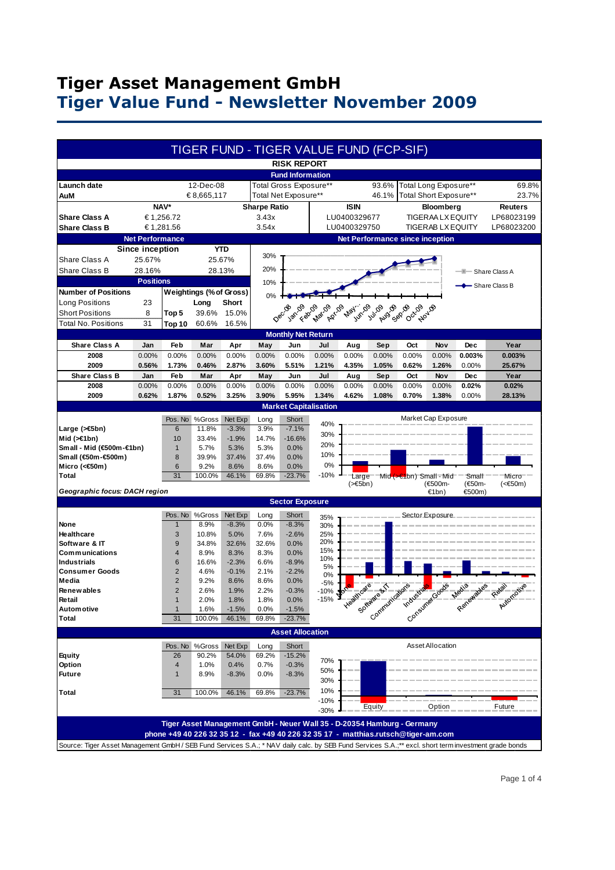# **Tiger Asset Management GmbH Tiger Value Fund - Newsletter November 2009**

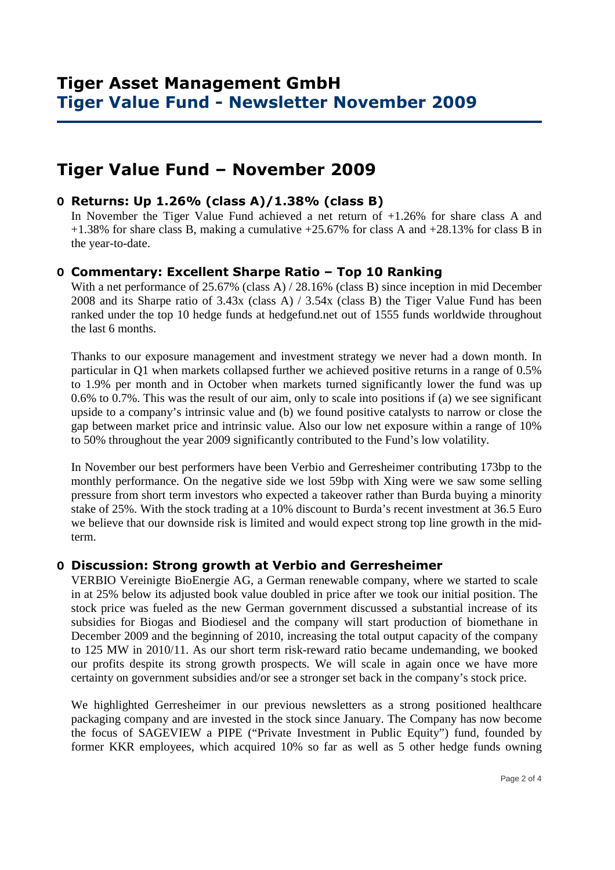# **Tiger Value Fund – November 2009**

### **O Returns: Up 1.26% (class A)/1.38% (class B)**

 In November the Tiger Value Fund achieved a net return of +1.26% for share class A and +1.38% for share class B, making a cumulative +25.67% for class A and +28.13% for class B in the year-to-date.

### **O Commentary: Excellent Sharpe Ratio – Top 10 Ranking**

With a net performance of 25.67% (class A) / 28.16% (class B) since inception in mid December 2008 and its Sharpe ratio of 3.43x (class A) / 3.54x (class B) the Tiger Value Fund has been ranked under the top 10 hedge funds at hedgefund.net out of 1555 funds worldwide throughout the last 6 months.

Thanks to our exposure management and investment strategy we never had a down month. In particular in Q1 when markets collapsed further we achieved positive returns in a range of 0.5% to 1.9% per month and in October when markets turned significantly lower the fund was up 0.6% to 0.7%. This was the result of our aim, only to scale into positions if (a) we see significant upside to a company's intrinsic value and (b) we found positive catalysts to narrow or close the gap between market price and intrinsic value. Also our low net exposure within a range of 10% to 50% throughout the year 2009 significantly contributed to the Fund's low volatility.

In November our best performers have been Verbio and Gerresheimer contributing 173bp to the monthly performance. On the negative side we lost 59bp with Xing were we saw some selling pressure from short term investors who expected a takeover rather than Burda buying a minority stake of 25%. With the stock trading at a 10% discount to Burda's recent investment at 36.5 Euro we believe that our downside risk is limited and would expect strong top line growth in the midterm.

#### **O Discussion: Strong growth at Verbio and Gerresheimer**

VERBIO Vereinigte BioEnergie AG, a German renewable company, where we started to scale in at 25% below its adjusted book value doubled in price after we took our initial position. The stock price was fueled as the new German government discussed a substantial increase of its subsidies for Biogas and Biodiesel and the company will start production of biomethane in December 2009 and the beginning of 2010, increasing the total output capacity of the company to 125 MW in 2010/11. As our short term risk-reward ratio became undemanding, we booked our profits despite its strong growth prospects. We will scale in again once we have more certainty on government subsidies and/or see a stronger set back in the company's stock price.

We highlighted Gerresheimer in our previous newsletters as a strong positioned healthcare packaging company and are invested in the stock since January. The Company has now become the focus of SAGEVIEW a PIPE ("Private Investment in Public Equity") fund, founded by former KKR employees, which acquired 10% so far as well as 5 other hedge funds owning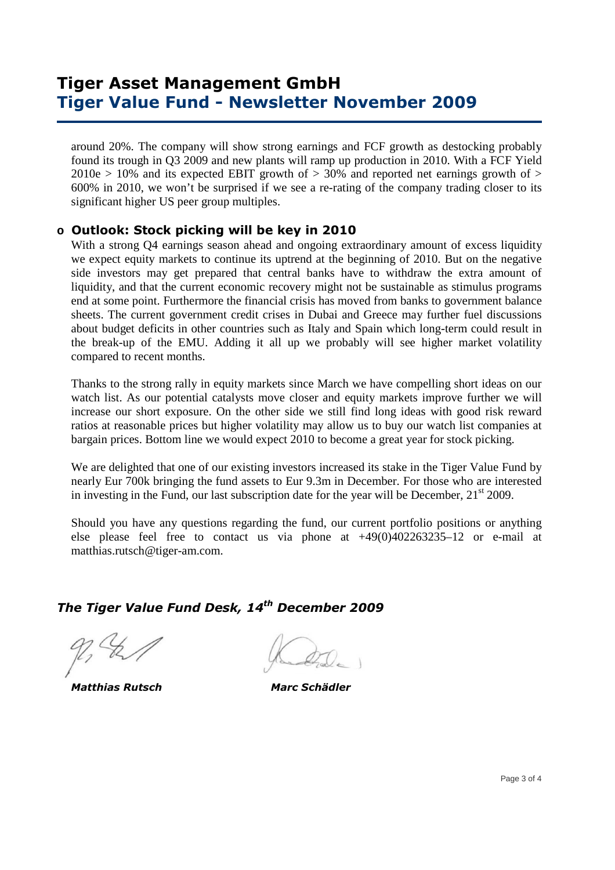# **Tiger Asset Management GmbH Tiger Value Fund - Newsletter November 2009**

around 20%. The company will show strong earnings and FCF growth as destocking probably found its trough in Q3 2009 and new plants will ramp up production in 2010. With a FCF Yield  $2010e > 10\%$  and its expected EBIT growth of  $> 30\%$  and reported net earnings growth of  $>$ 600% in 2010, we won't be surprised if we see a re-rating of the company trading closer to its significant higher US peer group multiples.

### **o Outlook: Stock picking will be key in 2010**

With a strong O4 earnings season ahead and ongoing extraordinary amount of excess liquidity we expect equity markets to continue its uptrend at the beginning of 2010. But on the negative side investors may get prepared that central banks have to withdraw the extra amount of liquidity, and that the current economic recovery might not be sustainable as stimulus programs end at some point. Furthermore the financial crisis has moved from banks to government balance sheets. The current government credit crises in Dubai and Greece may further fuel discussions about budget deficits in other countries such as Italy and Spain which long-term could result in the break-up of the EMU. Adding it all up we probably will see higher market volatility compared to recent months.

Thanks to the strong rally in equity markets since March we have compelling short ideas on our watch list. As our potential catalysts move closer and equity markets improve further we will increase our short exposure. On the other side we still find long ideas with good risk reward ratios at reasonable prices but higher volatility may allow us to buy our watch list companies at bargain prices. Bottom line we would expect 2010 to become a great year for stock picking.

We are delighted that one of our existing investors increased its stake in the Tiger Value Fund by nearly Eur 700k bringing the fund assets to Eur 9.3m in December. For those who are interested in investing in the Fund, our last subscription date for the year will be December,  $21<sup>st</sup> 2009$ .

Should you have any questions regarding the fund, our current portfolio positions or anything else please feel free to contact us via phone at +49(0)402263235–12 or e-mail at matthias.rutsch@tiger-am.com.

### *The Tiger Value Fund Desk, 14th December 2009*

 *Matthias Rutsch Marc Schädler*